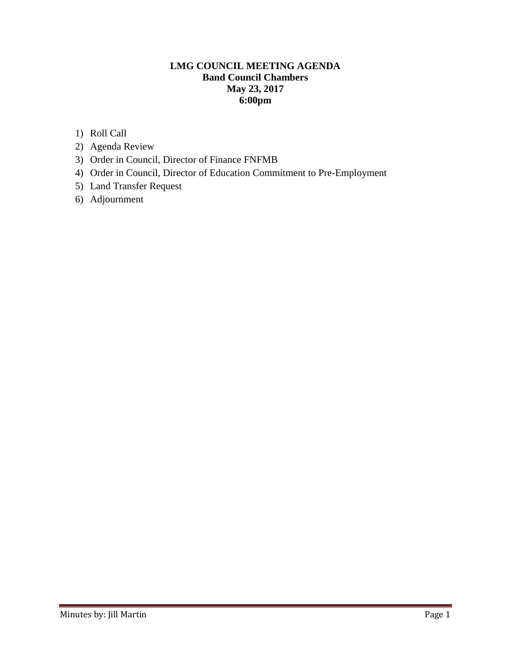### **LMG COUNCIL MEETING AGENDA Band Council Chambers May 23, 2017 6:00pm**

- 1) Roll Call
- 2) Agenda Review
- 3) Order in Council, Director of Finance FNFMB
- 4) Order in Council, Director of Education Commitment to Pre-Employment
- 5) Land Transfer Request
- 6) Adjournment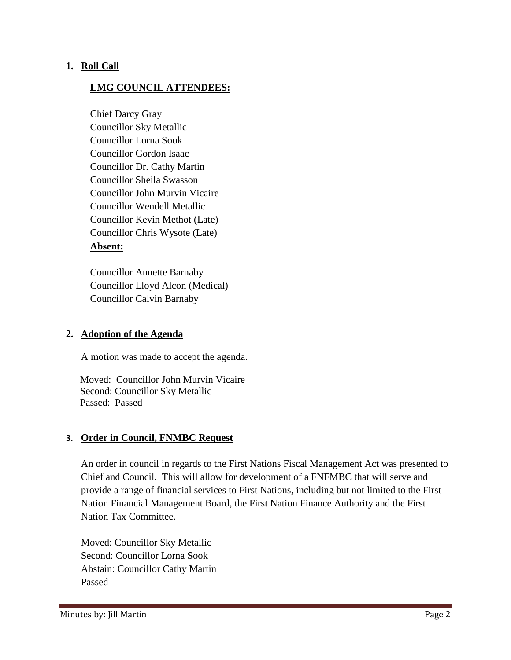#### **1. Roll Call**

### **LMG COUNCIL ATTENDEES:**

Chief Darcy Gray Councillor Sky Metallic Councillor Lorna Sook Councillor Gordon Isaac Councillor Dr. Cathy Martin Councillor Sheila Swasson Councillor John Murvin Vicaire Councillor Wendell Metallic Councillor Kevin Methot (Late) Councillor Chris Wysote (Late) **Absent:**

Councillor Annette Barnaby Councillor Lloyd Alcon (Medical) Councillor Calvin Barnaby

#### **2. Adoption of the Agenda**

A motion was made to accept the agenda.

 Moved: Councillor John Murvin Vicaire Second: Councillor Sky Metallic Passed: Passed

#### **3. Order in Council, FNMBC Request**

An order in council in regards to the First Nations Fiscal Management Act was presented to Chief and Council. This will allow for development of a FNFMBC that will serve and provide a range of financial services to First Nations, including but not limited to the First Nation Financial Management Board, the First Nation Finance Authority and the First Nation Tax Committee.

Moved: Councillor Sky Metallic Second: Councillor Lorna Sook Abstain: Councillor Cathy Martin Passed